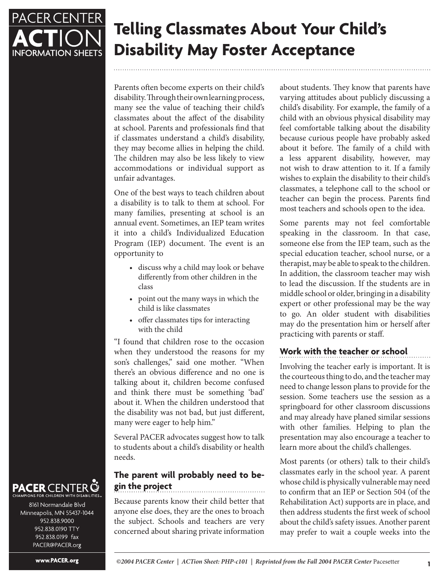

# **Telling Classmates About Your Child's Disability May Foster Acceptance**

Parents often become experts on their child's disability. Through their own learning process, many see the value of teaching their child's classmates about the affect of the disability at school. Parents and professionals find that if classmates understand a child's disability, they may become allies in helping the child. The children may also be less likely to view accommodations or individual support as unfair advantages.

One of the best ways to teach children about a disability is to talk to them at school. For many families, presenting at school is an annual event. Sometimes, an IEP team writes it into a child's Individualized Education Program (IEP) document. The event is an opportunity to

- discuss why a child may look or behave differently from other children in the class
- point out the many ways in which the child is like classmates
- offer classmates tips for interacting with the child

"I found that children rose to the occasion when they understood the reasons for my son's challenges," said one mother. "When there's an obvious difference and no one is talking about it, children become confused and think there must be something 'bad' about it. When the children understood that the disability was not bad, but just different, many were eager to help him."

Several PACER advocates suggest how to talk to students about a child's disability or health needs.

# **The parent will probably need to begin the project**

Because parents know their child better that anyone else does, they are the ones to broach the subject. Schools and teachers are very concerned about sharing private information

about students. They know that parents have varying attitudes about publicly discussing a child's disability. For example, the family of a child with an obvious physical disability may feel comfortable talking about the disability because curious people have probably asked about it before. The family of a child with a less apparent disability, however, may not wish to draw attention to it. If a family wishes to explain the disability to their child's classmates, a telephone call to the school or teacher can begin the process. Parents find most teachers and schools open to the idea.

Some parents may not feel comfortable speaking in the classroom. In that case, someone else from the IEP team, such as the special education teacher, school nurse, or a therapist, may be able to speak to the children. In addition, the classroom teacher may wish to lead the discussion. If the students are in middle school or older, bringing in a disability expert or other professional may be the way to go. An older student with disabilities may do the presentation him or herself after practicing with parents or staff.

# **Work with the teacher or school**

Involving the teacher early is important. It is the courteous thing to do, and the teacher may need to change lesson plans to provide for the session. Some teachers use the session as a springboard for other classroom discussions and may already have planed similar sessions with other families. Helping to plan the presentation may also encourage a teacher to learn more about the child's challenges.

Most parents (or others) talk to their child's classmates early in the school year. A parent whose child is physically vulnerable may need to confirm that an IEP or Section 504 (of the Rehabilitation Act) supports are in place, and then address students the first week of school about the child's safety issues. Another parent may prefer to wait a couple weeks into the

#### **PACER** CENTER Q ONS FOR CHILDREN WITH DISABILITIES

8161 Normandale Blvd Minneapolis, MN 55437-1044 952.838.9000 952.838.0190 TTY 952.838.0199 fax PACER@PACER.org